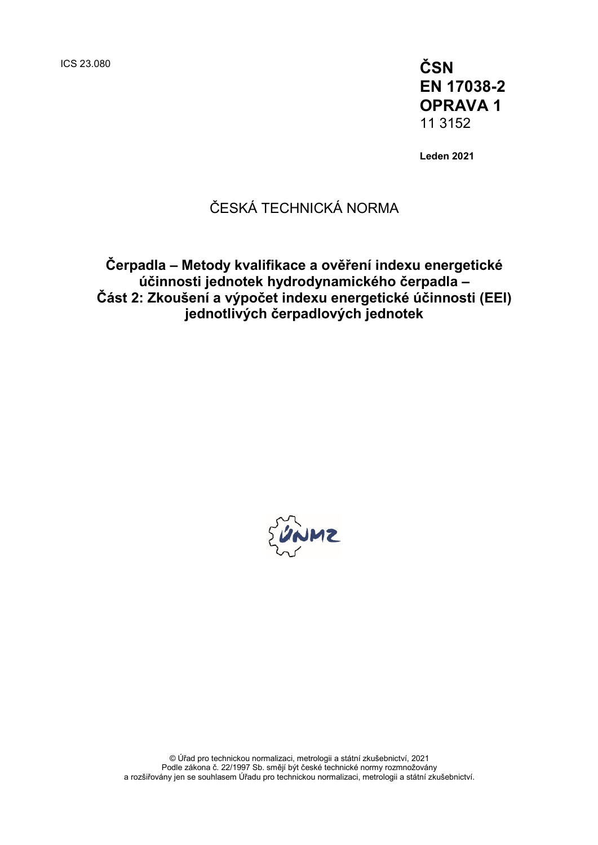ICS 23.080 **ČSN EN 17038-2 OPRAVA 1** 11 3152

**Leden 2021**

## ČESKÁ TECHNICKÁ NORMA

**Čerpadla – Metody kvalifikace a ověření indexu energetické účinnosti jednotek hydrodynamického čerpadla – Část 2: Zkoušení a výpočet indexu energetické účinnosti (EEI) jednotlivých čerpadlových jednotek**

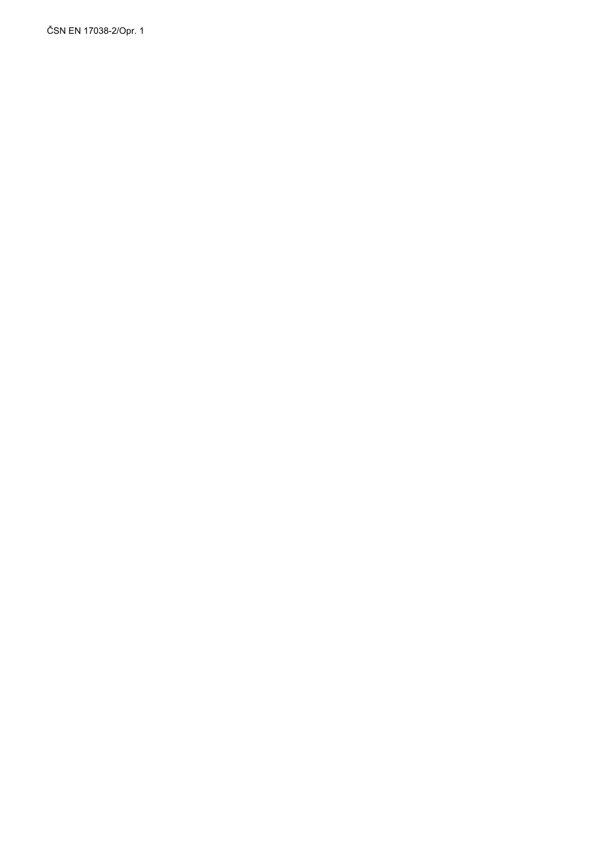ČSN EN 17038-2/Opr. 1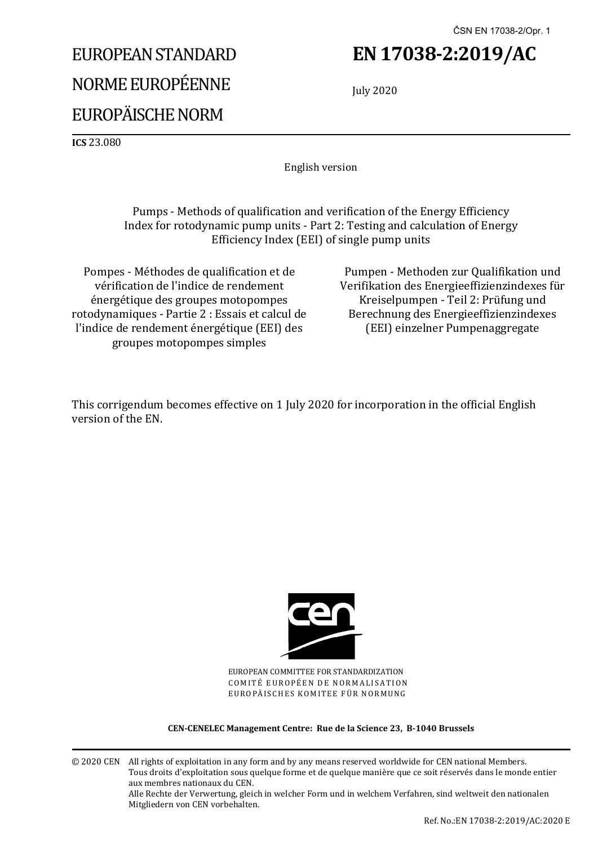# EUROPEAN STANDARD NORME EUROPÉENNE EUROPÄISCHE NORM

# **EN 17038-2:2019/AC**

July 2020

**ICS** 23.080

English version

Pumps - Methods of qualification and verification of the Energy Efficiency Index for rotodynamic pump units - Part 2: Testing and calculation of Energy Efficiency Index (EEI) of single pump units

Pompes - Méthodes de qualification et de vérification de l'indice de rendement énergétique des groupes motopompes rotodynamiques - Partie 2 : Essais et calcul de l'indice de rendement énergétique (EEI) des groupes motopompes simples

Pumpen - Methoden zur Qualifikation und Verifikation des Energieeffizienzindexes für Kreiselpumpen - Teil 2: Prüfung und Berechnung des Energieeffizienzindexes (EEI) einzelner Pumpenaggregate

This corrigendum becomes effective on 1 July 2020 for incorporation in the official English version of the EN.



EUROPEAN COMMITTEE FOR STANDARDIZATION COMITÉ EUROPÉEN DE NORMALISATION EUROPÄISCHES KOMITEE FÜR NORMUNG

#### **CEN-CENELEC Management Centre: Rue de la Science 23, B-1040 Brussels**

© 2020 CEN All rights of exploitation in any form and by any means reserved worldwide for CEN national Members. Tous droits d'exploitation sous quelque forme et de quelque manière que ce soit réservés dans le monde entier aux membres nationaux du CEN. Alle Rechte der Verwertung, gleich in welcher Form und in welchem Verfahren, sind weltweit den nationalen Mitgliedern von CEN vorbehalten.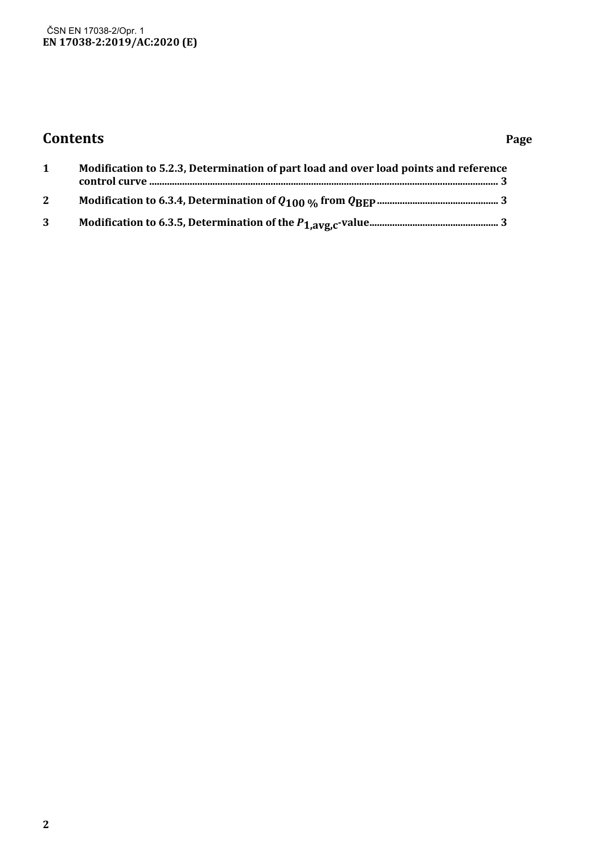#### **EN 17038-2:2019/AC:2020 (E)** ČSN EN 17038-2/Opr. 1

#### **Contents Page**

| $\mathbf{1}$ | Modification to 5.2.3, Determination of part load and over load points and reference |
|--------------|--------------------------------------------------------------------------------------|
| 2            |                                                                                      |
| 3            |                                                                                      |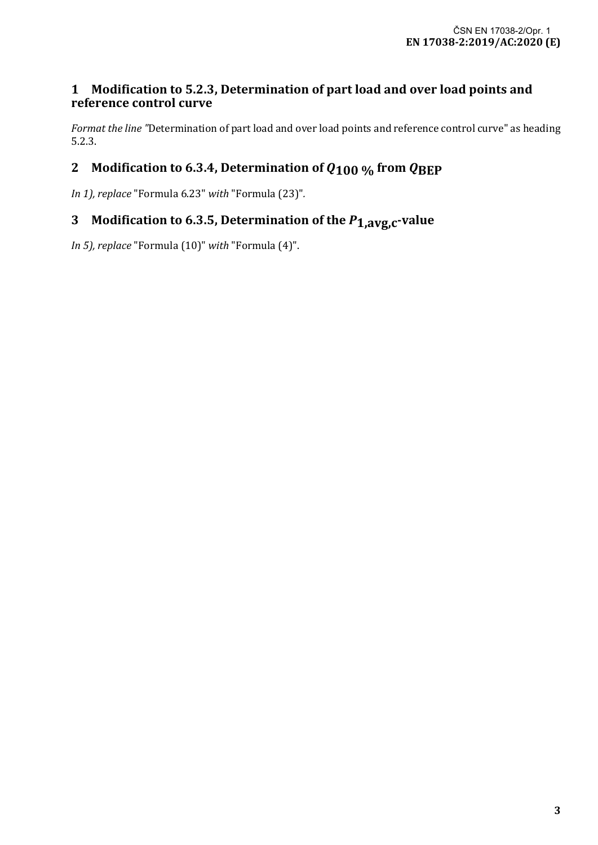#### **1 Modification to 5.2.3, Determination of part load and over load points and reference control curve**

*Format the line "*Determination of part load and over load points and reference control curve" as heading 5.2.3.

# **2 Modification to 6.3.4, Determination of** *Q***100 % from** *Q***BEP**

*In 1), replace* "Formula 6.23" *with* "Formula (23)"*.*

### **3 Modification to 6.3.5, Determination of the** *P***1,avg,c-value**

*In 5), replace* "Formula (10)" *with* "Formula (4)".